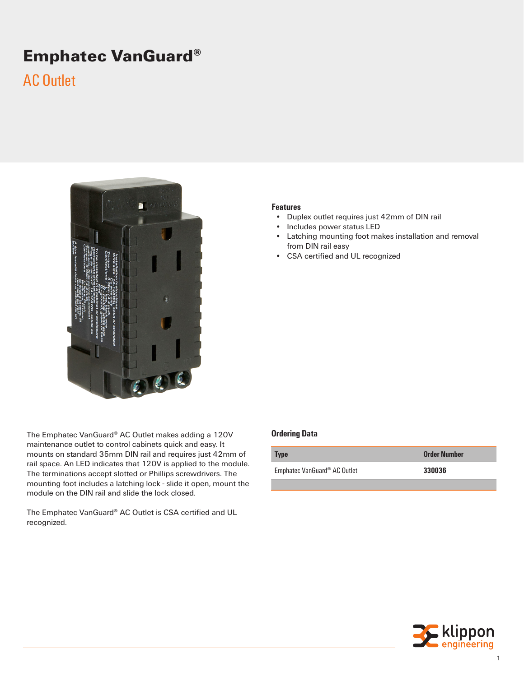# **Emphatec VanGuard®**

## AC Outlet



The Emphatec VanGuard® AC Outlet makes adding a 120V maintenance outlet to control cabinets quick and easy. It mounts on standard 35mm DIN rail and requires just 42mm of rail space. An LED indicates that 120V is applied to the module. The terminations accept slotted or Phillips screwdrivers. The mounting foot includes a latching lock - slide it open, mount the module on the DIN rail and slide the lock closed.

The Emphatec VanGuard® AC Outlet is CSA certified and UL recognized.

#### **Features**

- Duplex outlet requires just 42mm of DIN rail<br>• Includes power status LED
- Includes power status LED
- Latching mounting foot makes installation and removal from DIN rail easy
- CSA certified and UL recognized

#### **Ordering Data**

| <b>Type</b>                              | <b>Order Number</b> |
|------------------------------------------|---------------------|
| Emphatec VanGuard <sup>®</sup> AC Outlet | 330036              |